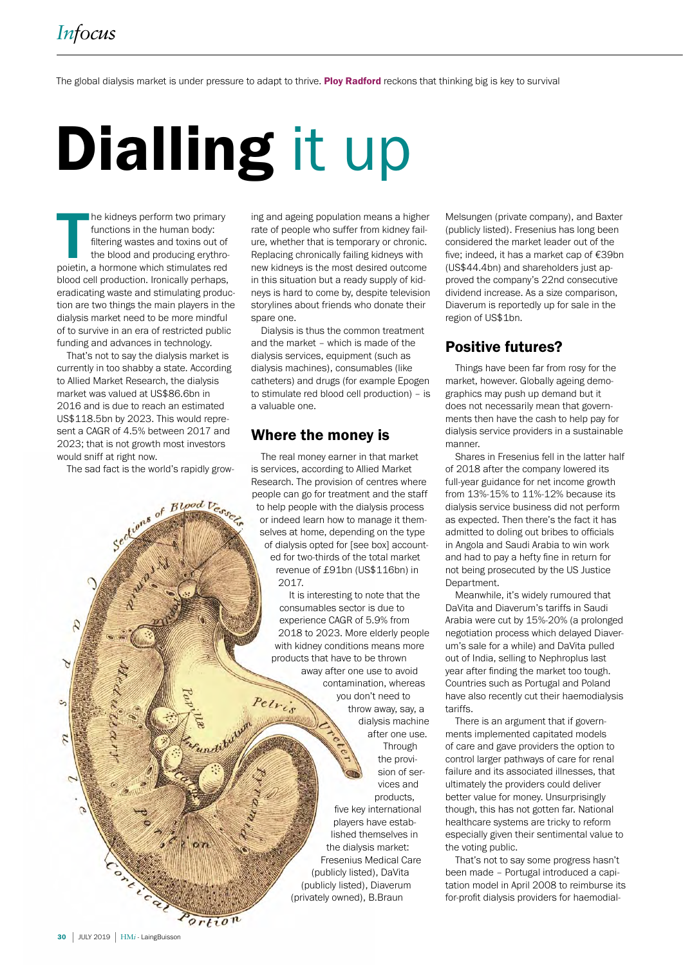The global dialysis market is under pressure to adapt to thrive. Ploy Radford reckons that thinking big is key to survival

# Dialling it up

The kidneys perform two primary<br>functions in the human body:<br>filtering wastes and toxins out of<br>the blood and producing erythro-<br>poietin, a hormone which stimulates red he kidneys perform two primary functions in the human body: filtering wastes and toxins out of the blood and producing erythroblood cell production. Ironically perhaps, eradicating waste and stimulating production are two things the main players in the dialysis market need to be more mindful of to survive in an era of restricted public funding and advances in technology.

That's not to say the dialysis market is currently in too shabby a state. According to Allied Market Research, the dialysis market was valued at US\$86.6bn in 2016 and is due to reach an estimated US\$118.5bn by 2023. This would represent a CAGR of 4.5% between 2017 and 2023; that is not growth most investors would sniff at right now.

The sad fact is the world's rapidly grow-

ans of Blood Vesser

ing and ageing population means a higher rate of people who suffer from kidney failure, whether that is temporary or chronic. Replacing chronically failing kidneys with new kidneys is the most desired outcome in this situation but a ready supply of kidneys is hard to come by, despite television storylines about friends who donate their spare one.

Dialysis is thus the common treatment and the market – which is made of the dialysis services, equipment (such as dialysis machines), consumables (like catheters) and drugs (for example Epogen to stimulate red blood cell production) – is a valuable one.

#### Where the money is

The real money earner in that market is services, according to Allied Market Research. The provision of centres where people can go for treatment and the staff to help people with the dialysis process or indeed learn how to manage it themselves at home, depending on the type of dialysis opted for [see box] accounted for two-thirds of the total market revenue of £91bn (US\$116bn) in 2017.

It is interesting to note that the consumables sector is due to experience CAGR of 5.9% from 2018 to 2023. More elderly people with kidney conditions means more products that have to be thrown away after one use to avoid contamination, whereas you don't need to Petris throw away, say, a dialysis machine after one use. Through the provision of services and products, five key international players have established themselves in the dialysis market: Fresenius Medical Care (publicly listed), DaVita (publicly listed), Diaverum (privately owned), B.Braun

Melsungen (private company), and Baxter (publicly listed). Fresenius has long been considered the market leader out of the five; indeed, it has a market cap of €39bn (US\$44.4bn) and shareholders just approved the company's 22nd consecutive dividend increase. As a size comparison, Diaverum is reportedly up for sale in the region of US\$1bn.

### Positive futures?

Things have been far from rosy for the market, however. Globally ageing demographics may push up demand but it does not necessarily mean that governments then have the cash to help pay for dialysis service providers in a sustainable manner.

Shares in Fresenius fell in the latter half of 2018 after the company lowered its full-year guidance for net income growth from 13%-15% to 11%-12% because its dialysis service business did not perform as expected. Then there's the fact it has admitted to doling out bribes to officials in Angola and Saudi Arabia to win work and had to pay a hefty fine in return for not being prosecuted by the US Justice **Department** 

Meanwhile, it's widely rumoured that DaVita and Diaverum's tariffs in Saudi Arabia were cut by 15%-20% (a prolonged negotiation process which delayed Diaverum's sale for a while) and DaVita pulled out of India, selling to Nephroplus last year after finding the market too tough. Countries such as Portugal and Poland have also recently cut their haemodialysis tariffs.

There is an argument that if governments implemented capitated models of care and gave providers the option to control larger pathways of care for renal failure and its associated illnesses, that ultimately the providers could deliver better value for money. Unsurprisingly though, this has not gotten far. National healthcare systems are tricky to reform especially given their sentimental value to the voting public.

That's not to say some progress hasn't been made – Portugal introduced a capitation model in April 2008 to reimburse its for-profit dialysis providers for haemodial-

dite day

 $\mathcal{L}$ 

λ

c,

 $\mathcal{L}$